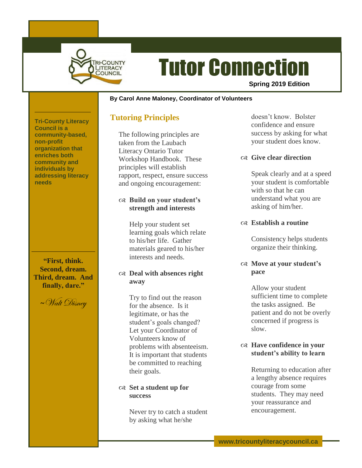

# Tutor Connection

**Spring 2019 Edition**

#### **~ By Carol Anne Maloney, Coordinator of Volunteers**

#### **Tutoring Principles**

The following principles are taken from the Laubach Literacy Ontario Tutor Workshop Handbook. These principles will establish rapport, respect, ensure success and ongoing encouragement:

#### **Build on your student's strength and interests**

Help your student set learning goals which relate to his/her life. Gather materials geared to his/her interests and needs.

#### **Deal with absences right away**

Try to find out the reason for the absence. Is it legitimate, or has the student's goals changed? Let your Coordinator of Volunteers know of problems with absenteeism. It is important that students be committed to reaching their goals.

#### **Set a student up for success**

Never try to catch a student by asking what he/she

doesn't know. Bolster confidence and ensure success by asking for what your student does know.

#### **Give clear direction**

Speak clearly and at a speed your student is comfortable with so that he can understand what you are asking of him/her.

#### **Establish a routine**

Consistency helps students organize their thinking.

#### **Move at your student's pace**

Allow your student sufficient time to complete the tasks assigned. Be patient and do not be overly concerned if progress is slow.

#### **Have confidence in your student's ability to learn**

Returning to education after a lengthy absence requires courage from some students. They may need your reassurance and encouragement.

**Tri-County Literacy Council is a community-based, non-profit organization that enriches both community and individuals by addressing literacy needs**

**"First, think. Second, dream. Third, dream. And finally, dare."**

**<sup>~</sup>**Walt Disney